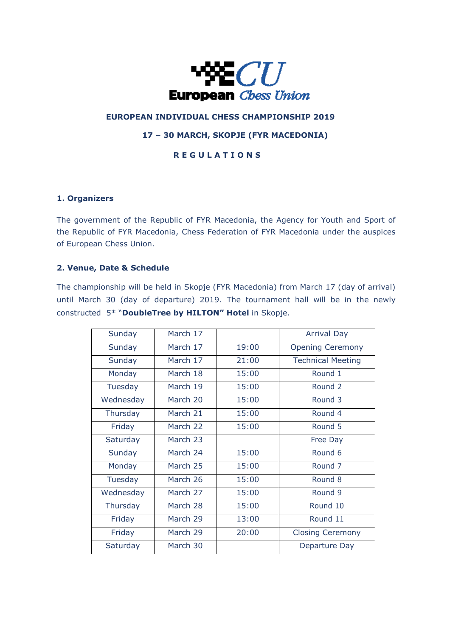

# **EUROPEAN INDIVIDUAL CHESS CHAMPIONSHIP 2019**

## **17 – 30 MARCH, SKOPJE (FYR MACEDONIA)**

# **R E G U L A T I O N S**

#### **1. Organizers**

The government of the Republic of FYR Macedonia, the Agency for Youth and Sport of the Republic of FYR Macedonia, Chess Federation of FYR Macedonia under the auspices of European Chess Union.

#### **2. Venue, Date & Schedule**

The championship will be held in Skopje (FYR Macedonia) from March 17 (day of arrival) until March 30 (day of departure) 2019. The tournament hall will be in the newly constructed 5\* "**DoubleTree by HILTON" Hotel** in Skopje.

| Sunday    | March 17 |       | <b>Arrival Day</b>       |
|-----------|----------|-------|--------------------------|
| Sunday    | March 17 | 19:00 | <b>Opening Ceremony</b>  |
| Sunday    | March 17 | 21:00 | <b>Technical Meeting</b> |
| Monday    | March 18 | 15:00 | Round 1                  |
| Tuesday   | March 19 | 15:00 | Round 2                  |
| Wednesday | March 20 | 15:00 | Round 3                  |
| Thursday  | March 21 | 15:00 | Round 4                  |
| Friday    | March 22 | 15:00 | Round 5                  |
| Saturday  | March 23 |       | Free Day                 |
| Sunday    | March 24 | 15:00 | Round 6                  |
| Monday    | March 25 | 15:00 | Round <sub>7</sub>       |
| Tuesday   | March 26 | 15:00 | Round 8                  |
| Wednesday | March 27 | 15:00 | Round 9                  |
| Thursday  | March 28 | 15:00 | Round 10                 |
| Friday    | March 29 | 13:00 | Round 11                 |
| Friday    | March 29 | 20:00 | <b>Closing Ceremony</b>  |
| Saturday  | March 30 |       | Departure Day            |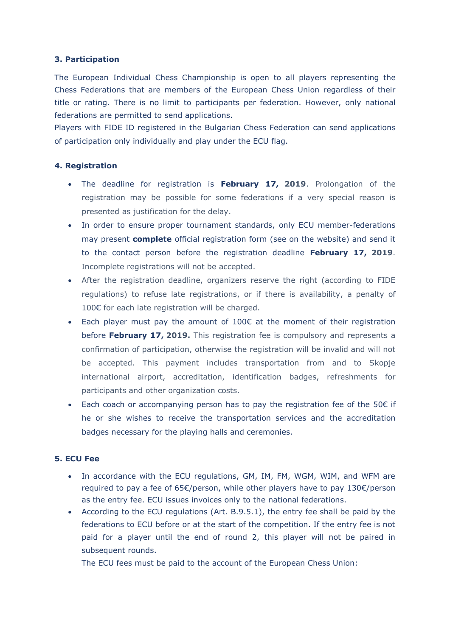### **3. Participation**

The European Individual Chess Championship is open to all players representing the Chess Federations that are members of the European Chess Union regardless of their title or rating. There is no limit to participants per federation. However, only national federations are permitted to send applications.

Players with FIDE ID registered in the Bulgarian Chess Federation can send applications of participation only individually and play under the ECU flag.

### **4. Registration**

- The deadline for registration is **February 17, 2019**. Prolongation of the registration may be possible for some federations if a very special reason is presented as justification for the delay.
- In order to ensure proper tournament standards, only ECU member-federations may present **complete** official registration form (see on the website) and send it to the contact person before the registration deadline **February 17, 2019**. Incomplete registrations will not be accepted.
- After the registration deadline, organizers reserve the right (according to FIDE regulations) to refuse late registrations, or if there is availability, a penalty of 100€ for each late registration will be charged.
- Each player must pay the amount of  $100 $\epsilon$  at the moment of their registration$ before **February 17, 2019.** This registration fee is compulsory and represents a confirmation of participation, otherwise the registration will be invalid and will not be accepted. This payment includes transportation from and to Skopje international airport, accreditation, identification badges, refreshments for participants and other organization costs.
- Each coach or accompanying person has to pay the registration fee of the 50€ if he or she wishes to receive the transportation services and the accreditation badges necessary for the playing halls and ceremonies.

### **5. ECU Fee**

- In accordance with the ECU regulations, GM, IM, FM, WGM, WIM, and WFM are required to pay a fee of 65€/person, while other players have to pay 130€/person as the entry fee. ECU issues invoices only to the national federations.
- According to the ECU regulations (Art. B.9.5.1), the entry fee shall be paid by the federations to ECU before or at the start of the competition. If the entry fee is not paid for a player until the end of round 2, this player will not be paired in subsequent rounds.

The ECU fees must be paid to the account of the European Chess Union: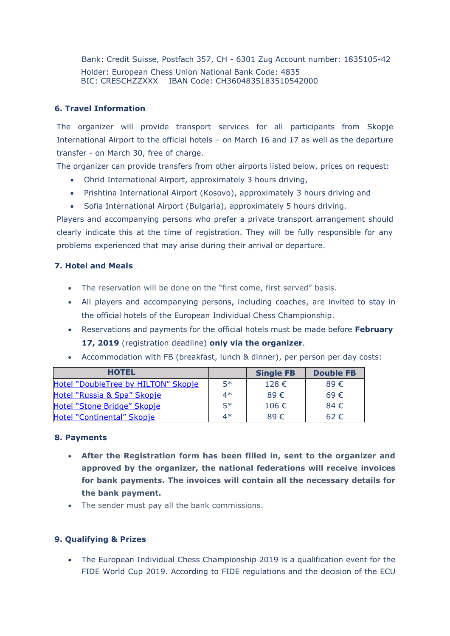Bank: Credit Suisse, Postfach 357, CH - 6301 Zug Account number: 1835105-42 Holder: European Chess Union National Bank Code: 4835 BIC: CRESCHZZXXX IBAN Code: CH3604835183510542000

## **6. Travel Information**

The organizer will provide transport services for all participants from Skopje International Airport to the official hotels – on March 16 and 17 as well as the departure transfer - on March 30, free of charge.

The organizer can provide transfers from other airports listed below, prices on request:

- Ohrid International Airport, approximately 3 hours driving,
- Prishtina International Airport (Kosovo), approximately 3 hours driving and
- Sofia International Airport (Bulgaria), approximately 5 hours driving.

Players and accompanying persons who prefer a private transport arrangement should clearly indicate this at the time of registration. They will be fully responsible for any problems experienced that may arise during their arrival or departure.

## **7. Hotel and Meals**

- The reservation will be done on the "first come, first served" basis.
- All players and accompanying persons, including coaches, are invited to stay in the official hotels of the European Individual Chess Championship.
- Reservations and payments for the official hotels must be made before **February 17, 2019** (registration deadline) **only via the organizer**.
- Accommodation with FB (breakfast, lunch & dinner), per person per day costs:

| <b>HOTEL</b>                        |      | <b>Single FB</b> | <b>Double FB</b> |
|-------------------------------------|------|------------------|------------------|
| Hotel "DoubleTree by HILTON" Skopje | $5*$ | 128 $\epsilon$   | $89 \in$         |
| Hotel "Russia & Spa" Skopje         | 4*   | 89 $\epsilon$    | $69 \in$         |
| Hotel "Stone Bridge" Skopje         | $5*$ | 106 €            | $84 \in$         |
| Hotel "Continental" Skopje          | 4*   | $89 \in$         | $62 \in$         |

## **8. Payments**

- **After the Registration form has been filled in, sent to the organizer and approved by the organizer, the national federations will receive invoices for bank payments. The invoices will contain all the necessary details for the bank payment.**
- The sender must pay all the bank commissions.

## **9. Qualifying & Prizes**

 The European Individual Chess Championship 2019 is a qualification event for the FIDE World Cup 2019. According to FIDE regulations and the decision of the ECU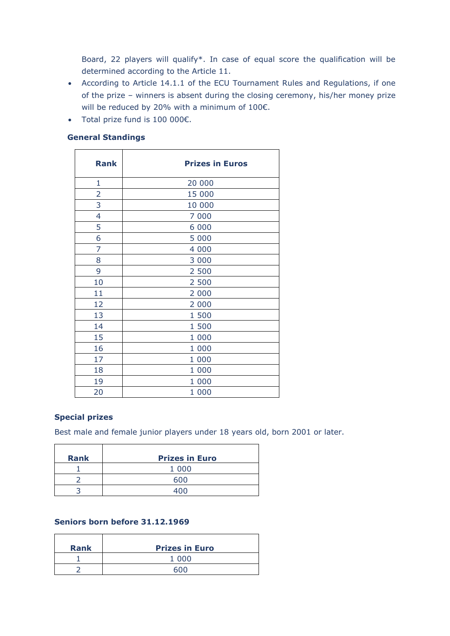Board, 22 players will qualify\*. In case of equal score the qualification will be determined according to the Article 11.

- According to Article 14.1.1 of the ECU Tournament Rules and Regulations, if one of the prize – winners is absent during the closing ceremony, his/her money prize will be reduced by 20% with a minimum of 100€.
- Total prize fund is 100 000€.

|  | <b>General Standings</b> |
|--|--------------------------|
|--|--------------------------|

| <b>Rank</b>    | <b>Prizes in Euros</b> |
|----------------|------------------------|
| 1              | 20 000                 |
| $\overline{2}$ | 15 000                 |
| 3              | 10 000                 |
| 4              | 7 000                  |
| 5              | 6 0 0 0                |
| 6              | 5 0 0 0                |
| 7              | 4 0 0 0                |
| 8              | 3 0 0 0                |
| 9              | 2 500                  |
| 10             | 2 500                  |
| 11             | 2 000                  |
| 12             | 2 000                  |
| 13             | 1 500                  |
| 14             | 1 500                  |
| 15             | 1 000                  |
| 16             | 1 000                  |
| 17             | 1 000                  |
| 18             | 1 000                  |
| 19             | 1 000                  |
| 20             | 1 000                  |

## **Special prizes**

Best male and female junior players under 18 years old, born 2001 or later.

| <b>Rank</b> | <b>Prizes in Euro</b> |
|-------------|-----------------------|
|             | 1 0 0 0               |
|             | 600                   |
|             | 400                   |

### **Seniors born before 31.12.1969**

| <b>Rank</b> | <b>Prizes in Euro</b> |
|-------------|-----------------------|
|             | 1 000                 |
|             | anr                   |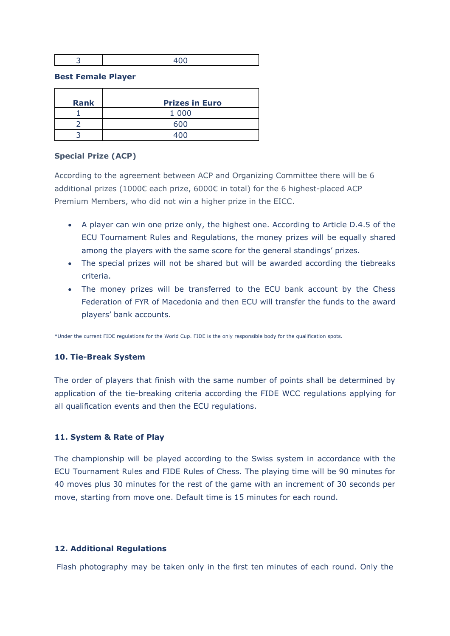| . . | - - |
|-----|-----|
|     |     |

#### **Best Female Player**

| <b>Rank</b> | <b>Prizes in Euro</b> |
|-------------|-----------------------|
|             | 1 0 0 0               |
|             | 600                   |
|             |                       |

### **Special Prize (ACP)**

According to the agreement between ACP and Organizing Committee there will be 6 additional prizes (1000€ each prize, 6000€ in total) for the 6 highest-placed ACP Premium Members, who did not win a higher prize in the EICC.

- A player can win one prize only, the highest one. According to Article D.4.5 of the ECU Tournament Rules and Regulations, the money prizes will be equally shared among the players with the same score for the general standings' prizes.
- The special prizes will not be shared but will be awarded according the tiebreaks criteria.
- The money prizes will be transferred to the ECU bank account by the Chess Federation of FYR of Macedonia and then ECU will transfer the funds to the award players' bank accounts.

\*Under the current FIDE regulations for the World Cup. FIDE is the only responsible body for the qualification spots.

## **10. Tie-Break System**

The order of players that finish with the same number of points shall be determined by application of the tie-breaking criteria according the FIDE WCC regulations applying for all qualification events and then the ECU regulations.

## **11. System & Rate of Play**

The championship will be played according to the Swiss system in accordance with the ECU Tournament Rules and FIDE Rules of Chess. The playing time will be 90 minutes for 40 moves plus 30 minutes for the rest of the game with an increment of 30 seconds per move, starting from move one. Default time is 15 minutes for each round.

#### **12. Additional Regulations**

Flash photography may be taken only in the first ten minutes of each round. Only the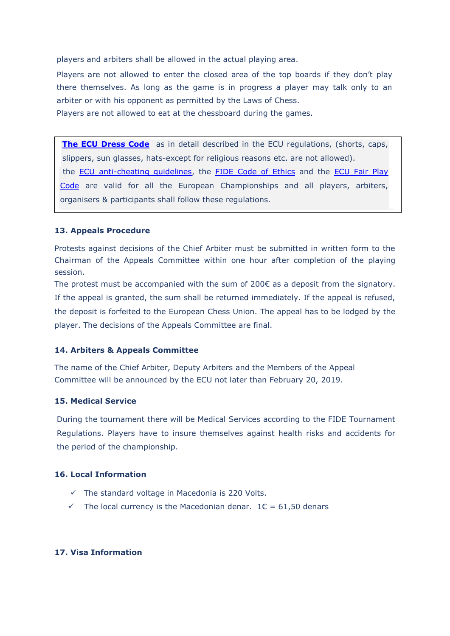players and arbiters shall be allowed in the actual playing area.

Players are not allowed to enter the closed area of the top boards if they don't play there themselves. As long as the game is in progress a player may talk only to an arbiter or with his opponent as permitted by the Laws of Chess.

Players are not allowed to eat at the chessboard during the games.

**[The ECU Dress Code](http://www.europechess.org/regulations/tournament-regulations/general-tournament-regulations/b-13-dress-code-for-the-participants-and-the-officials-excluding-youth-championships/)** as in detail described in the ECU regulations, (shorts, caps, slippers, sun glasses, hats-except for religious reasons etc. are not allowed). the [ECU anti-cheating guidelines,](http://www.europechess.org/regulations/tournament-regulations/european-anti-cheating-rules/) the [FIDE Code of Ethics](https://www.fide.com/fide/handbook.html?id=9&view=category) and the ECU Fair Play [Code](http://www.europechess.org/regulations/tournament-regulations/european-fair-play/) are valid for all the European Championships and all players, arbiters, organisers & participants shall follow these regulations.

#### **13. Appeals Procedure**

Protests against decisions of the Chief Arbiter must be submitted in written form to the Chairman of the Appeals Committee within one hour after completion of the playing session.

The protest must be accompanied with the sum of  $200\epsilon$  as a deposit from the signatory. If the appeal is granted, the sum shall be returned immediately. If the appeal is refused, the deposit is forfeited to the European Chess Union. The appeal has to be lodged by the player. The decisions of the Appeals Committee are final.

#### **14. Arbiters & Appeals Committee**

The name of the Chief Arbiter, Deputy Arbiters and the Members of the Appeal Committee will be announced by the ECU not later than February 20, 2019.

#### **15. Medical Service**

During the tournament there will be Medical Services according to the FIDE Tournament Regulations. Players have to insure themselves against health risks and accidents for the period of the championship.

### **16. Local Information**

- $\checkmark$  The standard voltage in Macedonia is 220 Volts.
- $\checkmark$  The local currency is the Macedonian denar. 1 $\epsilon$  = 61,50 denars

#### **17. Visa Information**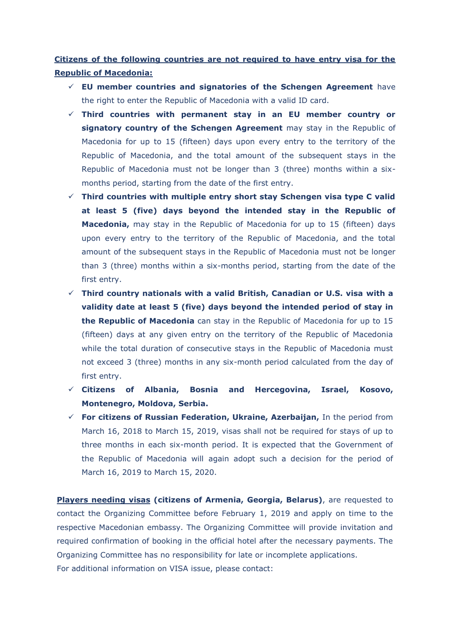**Citizens of the following countries are not required to have entry visa for the Republic of Macedonia:**

- **EU member countries and signatories of the Schengen Agreement** have the right to enter the Republic of Macedonia with a valid ID card.
- **Third countries with permanent stay in an EU member country or signatory country of the Schengen Agreement** may stay in the Republic of Macedonia for up to 15 (fifteen) days upon every entry to the territory of the Republic of Macedonia, and the total amount of the subsequent stays in the Republic of Macedonia must not be longer than 3 (three) months within a sixmonths period, starting from the date of the first entry.
- **Third countries with multiple entry short stay Schengen visa type C valid at least 5 (five) days beyond the intended stay in the Republic of Macedonia,** may stay in the Republic of Macedonia for up to 15 (fifteen) days upon every entry to the territory of the Republic of Macedonia, and the total amount of the subsequent stays in the Republic of Macedonia must not be longer than 3 (three) months within a six-months period, starting from the date of the first entry.
- **Third country nationals with a valid British, Canadian or U.S. visa with a validity date at least 5 (five) days beyond the intended period of stay in the Republic of Macedonia** can stay in the Republic of Macedonia for up to 15 (fifteen) days at any given entry on the territory of the Republic of Macedonia while the total duration of consecutive stays in the Republic of Macedonia must not exceed 3 (three) months in any six-month period calculated from the day of first entry.
- **Citizens of Albania, Bosnia and Hercegovina, Israel, Kosovo, Montenegro, Moldova, Serbia.**
- **For citizens of Russian Federation, Ukraine, Azerbaijan,** In the period from March 16, 2018 to March 15, 2019, visas shall not be required for stays of up to three months in each six-month period. It is expected that the Government of the Republic of Macedonia will again adopt such a decision for the period of March 16, 2019 to March 15, 2020.

**Players needing visas (citizens of Armenia, Georgia, Belarus)**, are requested to contact the Organizing Committee before February 1, 2019 and apply on time to the respective Macedonian embassy. The Organizing Committee will provide invitation and required confirmation of booking in the official hotel after the necessary payments. The Organizing Committee has no responsibility for late or incomplete applications. For additional information on VISA issue, please contact: